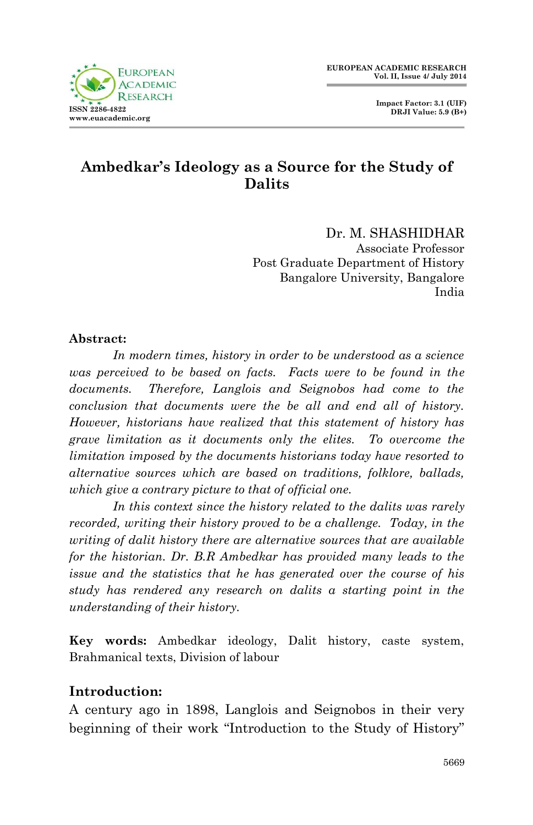

# **Ambedkar's Ideology as a Source for the Study of Dalits**

Dr. M. SHASHIDHAR Associate Professor Post Graduate Department of History Bangalore University, Bangalore India

### **Abstract:**

*In modern times, history in order to be understood as a science was perceived to be based on facts. Facts were to be found in the documents. Therefore, Langlois and Seignobos had come to the conclusion that documents were the be all and end all of history. However, historians have realized that this statement of history has grave limitation as it documents only the elites. To overcome the limitation imposed by the documents historians today have resorted to alternative sources which are based on traditions, folklore, ballads, which give a contrary picture to that of official one.*

*In this context since the history related to the dalits was rarely recorded, writing their history proved to be a challenge. Today, in the writing of dalit history there are alternative sources that are available for the historian. Dr. B.R Ambedkar has provided many leads to the issue and the statistics that he has generated over the course of his study has rendered any research on dalits a starting point in the understanding of their history.*

**Key words:** Ambedkar ideology, Dalit history, caste system, Brahmanical texts, Division of labour

## **Introduction:**

A century ago in 1898, Langlois and Seignobos in their very beginning of their work "Introduction to the Study of History"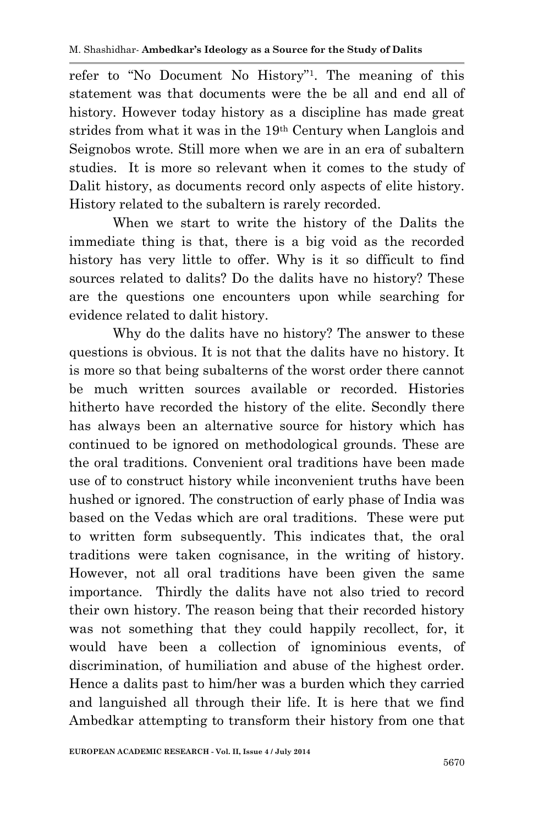refer to "No Document No History"<sup>1</sup> . The meaning of this statement was that documents were the be all and end all of history. However today history as a discipline has made great strides from what it was in the 19th Century when Langlois and Seignobos wrote. Still more when we are in an era of subaltern studies. It is more so relevant when it comes to the study of Dalit history, as documents record only aspects of elite history. History related to the subaltern is rarely recorded.

When we start to write the history of the Dalits the immediate thing is that, there is a big void as the recorded history has very little to offer. Why is it so difficult to find sources related to dalits? Do the dalits have no history? These are the questions one encounters upon while searching for evidence related to dalit history.

Why do the dalits have no history? The answer to these questions is obvious. It is not that the dalits have no history. It is more so that being subalterns of the worst order there cannot be much written sources available or recorded. Histories hitherto have recorded the history of the elite. Secondly there has always been an alternative source for history which has continued to be ignored on methodological grounds. These are the oral traditions. Convenient oral traditions have been made use of to construct history while inconvenient truths have been hushed or ignored. The construction of early phase of India was based on the Vedas which are oral traditions. These were put to written form subsequently. This indicates that, the oral traditions were taken cognisance, in the writing of history. However, not all oral traditions have been given the same importance. Thirdly the dalits have not also tried to record their own history. The reason being that their recorded history was not something that they could happily recollect, for, it would have been a collection of ignominious events, of discrimination, of humiliation and abuse of the highest order. Hence a dalits past to him/her was a burden which they carried and languished all through their life. It is here that we find Ambedkar attempting to transform their history from one that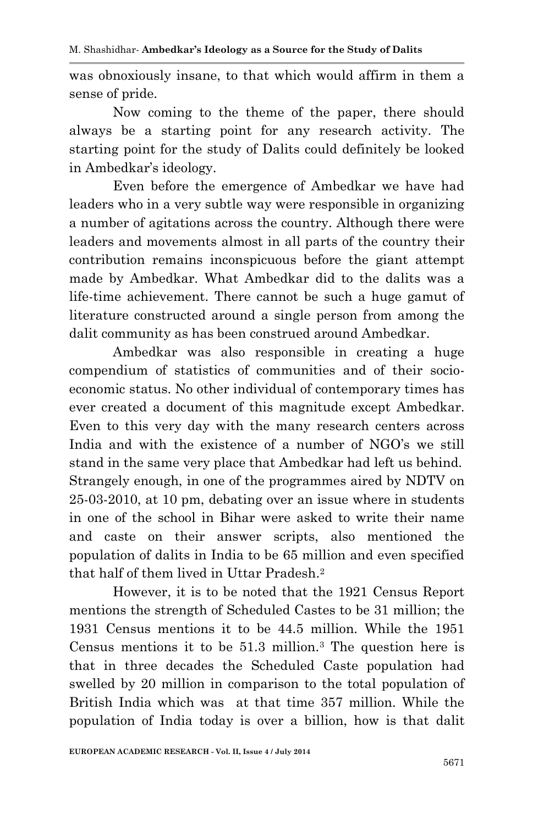was obnoxiously insane, to that which would affirm in them a sense of pride.

Now coming to the theme of the paper, there should always be a starting point for any research activity. The starting point for the study of Dalits could definitely be looked in Ambedkar's ideology.

Even before the emergence of Ambedkar we have had leaders who in a very subtle way were responsible in organizing a number of agitations across the country. Although there were leaders and movements almost in all parts of the country their contribution remains inconspicuous before the giant attempt made by Ambedkar. What Ambedkar did to the dalits was a life-time achievement. There cannot be such a huge gamut of literature constructed around a single person from among the dalit community as has been construed around Ambedkar.

Ambedkar was also responsible in creating a huge compendium of statistics of communities and of their socioeconomic status. No other individual of contemporary times has ever created a document of this magnitude except Ambedkar. Even to this very day with the many research centers across India and with the existence of a number of NGO's we still stand in the same very place that Ambedkar had left us behind. Strangely enough, in one of the programmes aired by NDTV on 25-03-2010, at 10 pm, debating over an issue where in students in one of the school in Bihar were asked to write their name and caste on their answer scripts, also mentioned the population of dalits in India to be 65 million and even specified that half of them lived in Uttar Pradesh.<sup>2</sup>

However, it is to be noted that the 1921 Census Report mentions the strength of Scheduled Castes to be 31 million; the 1931 Census mentions it to be 44.5 million. While the 1951 Census mentions it to be 51.3 million.<sup>3</sup> The question here is that in three decades the Scheduled Caste population had swelled by 20 million in comparison to the total population of British India which was at that time 357 million. While the population of India today is over a billion, how is that dalit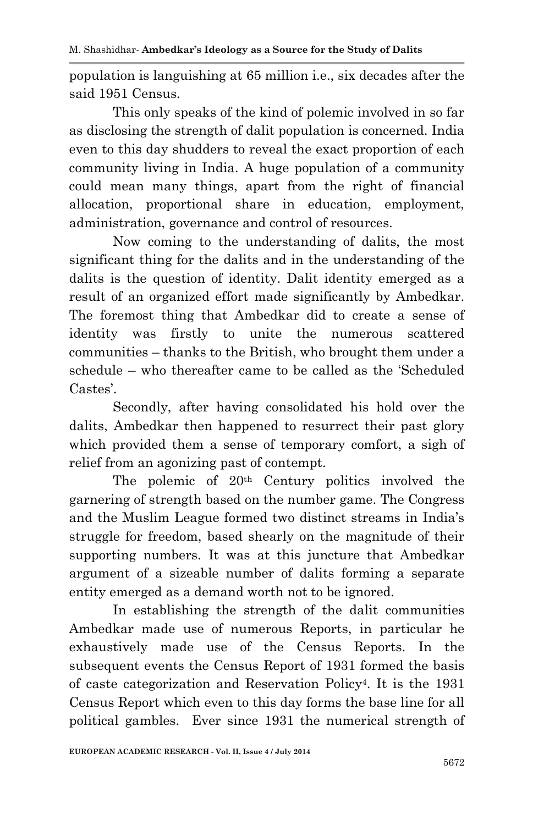population is languishing at 65 million i.e., six decades after the said 1951 Census.

This only speaks of the kind of polemic involved in so far as disclosing the strength of dalit population is concerned. India even to this day shudders to reveal the exact proportion of each community living in India. A huge population of a community could mean many things, apart from the right of financial allocation, proportional share in education, employment, administration, governance and control of resources.

Now coming to the understanding of dalits, the most significant thing for the dalits and in the understanding of the dalits is the question of identity. Dalit identity emerged as a result of an organized effort made significantly by Ambedkar. The foremost thing that Ambedkar did to create a sense of identity was firstly to unite the numerous scattered communities – thanks to the British, who brought them under a schedule – who thereafter came to be called as the 'Scheduled Castes'.

Secondly, after having consolidated his hold over the dalits, Ambedkar then happened to resurrect their past glory which provided them a sense of temporary comfort, a sigh of relief from an agonizing past of contempt.

The polemic of 20th Century politics involved the garnering of strength based on the number game. The Congress and the Muslim League formed two distinct streams in India's struggle for freedom, based shearly on the magnitude of their supporting numbers. It was at this juncture that Ambedkar argument of a sizeable number of dalits forming a separate entity emerged as a demand worth not to be ignored.

In establishing the strength of the dalit communities Ambedkar made use of numerous Reports, in particular he exhaustively made use of the Census Reports. In the subsequent events the Census Report of 1931 formed the basis of caste categorization and Reservation Policy<sup>4</sup> . It is the 1931 Census Report which even to this day forms the base line for all political gambles. Ever since 1931 the numerical strength of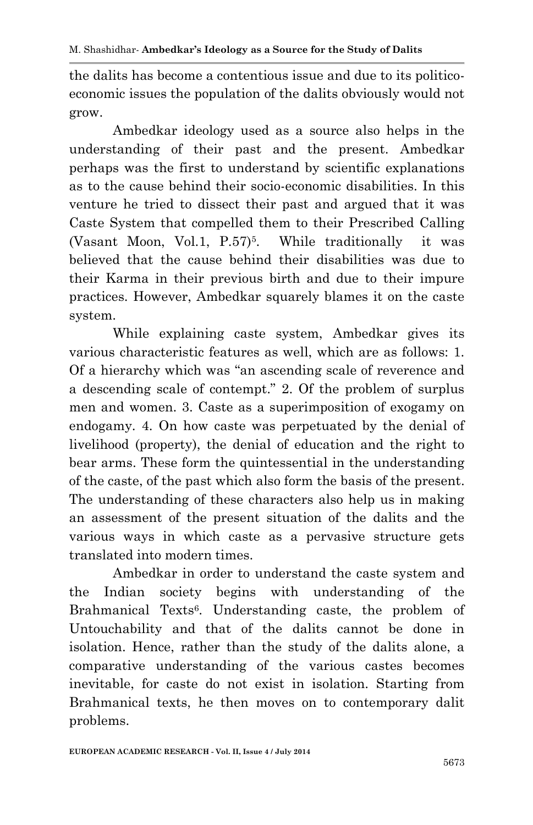the dalits has become a contentious issue and due to its politicoeconomic issues the population of the dalits obviously would not grow.

Ambedkar ideology used as a source also helps in the understanding of their past and the present. Ambedkar perhaps was the first to understand by scientific explanations as to the cause behind their socio-economic disabilities. In this venture he tried to dissect their past and argued that it was Caste System that compelled them to their Prescribed Calling (Vasant Moon, Vol.1, P.57)<sup>5</sup>. While traditionally it was believed that the cause behind their disabilities was due to their Karma in their previous birth and due to their impure practices. However, Ambedkar squarely blames it on the caste system.

While explaining caste system, Ambedkar gives its various characteristic features as well, which are as follows: 1. Of a hierarchy which was "an ascending scale of reverence and a descending scale of contempt." 2. Of the problem of surplus men and women. 3. Caste as a superimposition of exogamy on endogamy. 4. On how caste was perpetuated by the denial of livelihood (property), the denial of education and the right to bear arms. These form the quintessential in the understanding of the caste, of the past which also form the basis of the present. The understanding of these characters also help us in making an assessment of the present situation of the dalits and the various ways in which caste as a pervasive structure gets translated into modern times.

Ambedkar in order to understand the caste system and the Indian society begins with understanding of the Brahmanical Texts<sup>6</sup>. Understanding caste, the problem of Untouchability and that of the dalits cannot be done in isolation. Hence, rather than the study of the dalits alone, a comparative understanding of the various castes becomes inevitable, for caste do not exist in isolation. Starting from Brahmanical texts, he then moves on to contemporary dalit problems.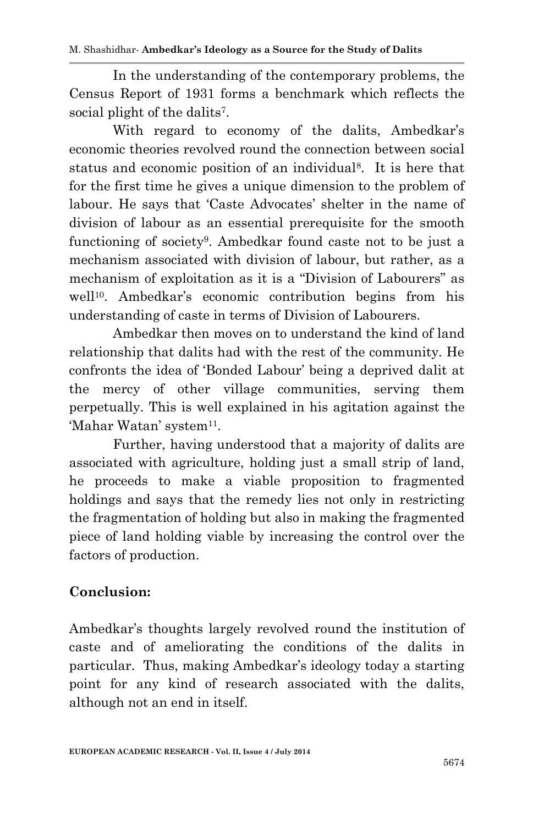In the understanding of the contemporary problems, the Census Report of 1931 forms a benchmark which reflects the social plight of the dalits<sup>7</sup>.

With regard to economy of the dalits, Ambedkar's economic theories revolved round the connection between social status and economic position of an individual<sup>8</sup>. It is here that for the first time he gives a unique dimension to the problem of labour. He says that 'Caste Advocates' shelter in the name of division of labour as an essential prerequisite for the smooth functioning of society<sup>9</sup>. Ambedkar found caste not to be just a mechanism associated with division of labour, but rather, as a mechanism of exploitation as it is a "Division of Labourers" as well<sup>10</sup>. Ambedkar's economic contribution begins from his understanding of caste in terms of Division of Labourers.

Ambedkar then moves on to understand the kind of land relationship that dalits had with the rest of the community. He confronts the idea of 'Bonded Labour' being a deprived dalit at the mercy of other village communities, serving them perpetually. This is well explained in his agitation against the 'Mahar Watan' system<sup>11</sup>.

Further, having understood that a majority of dalits are associated with agriculture, holding just a small strip of land, he proceeds to make a viable proposition to fragmented holdings and says that the remedy lies not only in restricting the fragmentation of holding but also in making the fragmented piece of land holding viable by increasing the control over the factors of production.

## **Conclusion:**

Ambedkar's thoughts largely revolved round the institution of caste and of ameliorating the conditions of the dalits in particular. Thus, making Ambedkar's ideology today a starting point for any kind of research associated with the dalits, although not an end in itself.